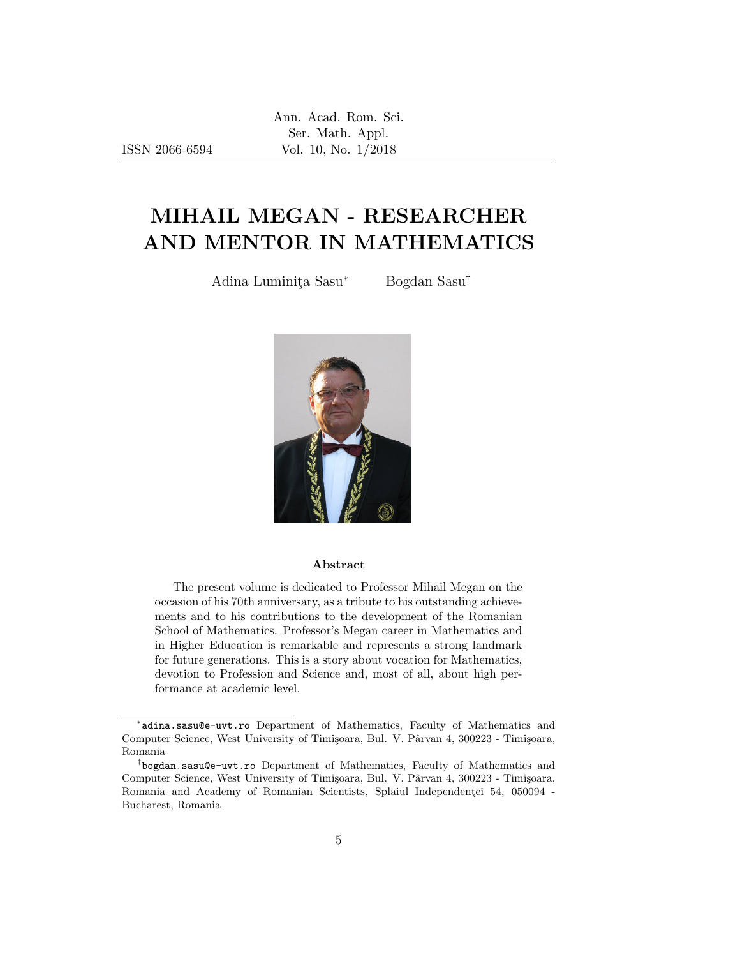Ann. Acad. Rom. Sci. Ser. Math. Appl. Vol. 10, No. 1/2018

ISSN 2066-6594

## MIHAIL MEGAN - RESEARCHER AND MENTOR IN MATHEMATICS

Adina Luminita Sasu<sup>∗</sup> Bogdan Sasu<sup>†</sup>



## Abstract

The present volume is dedicated to Professor Mihail Megan on the occasion of his 70th anniversary, as a tribute to his outstanding achievements and to his contributions to the development of the Romanian School of Mathematics. Professor's Megan career in Mathematics and in Higher Education is remarkable and represents a strong landmark for future generations. This is a story about vocation for Mathematics, devotion to Profession and Science and, most of all, about high performance at academic level.

<sup>∗</sup> adina.sasu@e-uvt.ro Department of Mathematics, Faculty of Mathematics and Computer Science, West University of Timișoara, Bul. V. Pârvan 4, 300223 - Timișoara, Romania

<sup>†</sup> bogdan.sasu@e-uvt.ro Department of Mathematics, Faculty of Mathematics and Computer Science, West University of Timişoara, Bul. V. Pârvan 4, 300223 - Timișoara, Romania and Academy of Romanian Scientists, Splaiul Independenței 54, 050094 -Bucharest, Romania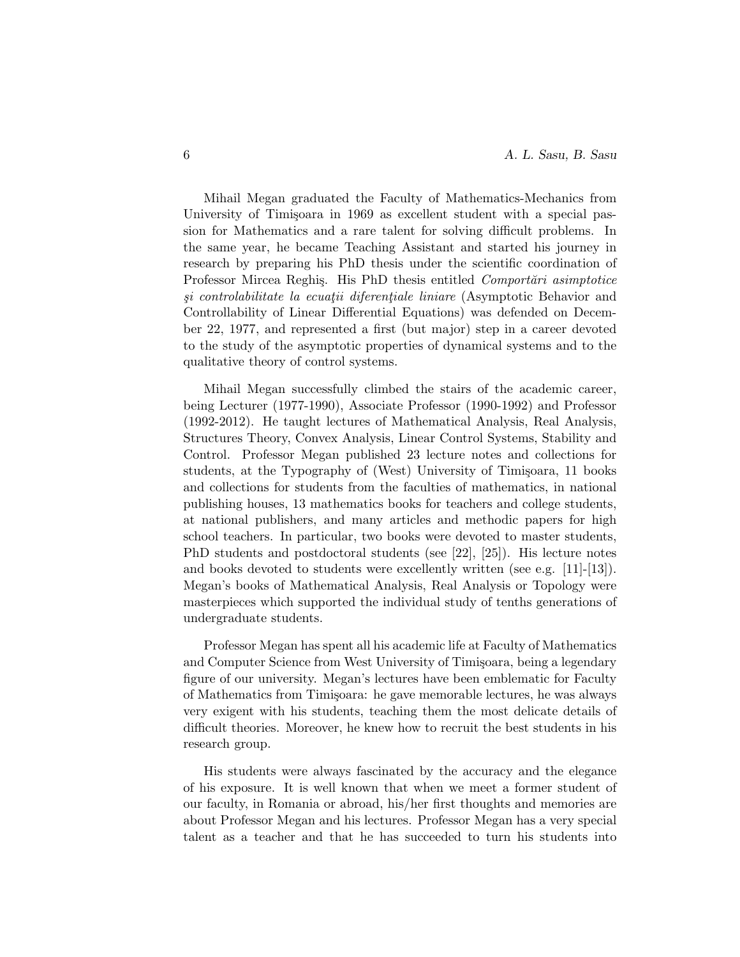Mihail Megan graduated the Faculty of Mathematics-Mechanics from University of Timisoara in 1969 as excellent student with a special passion for Mathematics and a rare talent for solving difficult problems. In the same year, he became Teaching Assistant and started his journey in research by preparing his PhD thesis under the scientific coordination of Professor Mircea Reghis. His PhD thesis entitled *Comportani asimptotice* si controlabilitate la ecuatii diferentiale liniare (Asymptotic Behavior and Controllability of Linear Differential Equations) was defended on December 22, 1977, and represented a first (but major) step in a career devoted to the study of the asymptotic properties of dynamical systems and to the qualitative theory of control systems.

Mihail Megan successfully climbed the stairs of the academic career, being Lecturer (1977-1990), Associate Professor (1990-1992) and Professor (1992-2012). He taught lectures of Mathematical Analysis, Real Analysis, Structures Theory, Convex Analysis, Linear Control Systems, Stability and Control. Professor Megan published 23 lecture notes and collections for students, at the Typography of (West) University of Timisoara, 11 books and collections for students from the faculties of mathematics, in national publishing houses, 13 mathematics books for teachers and college students, at national publishers, and many articles and methodic papers for high school teachers. In particular, two books were devoted to master students, PhD students and postdoctoral students (see [22], [25]). His lecture notes and books devoted to students were excellently written (see e.g. [11]-[13]). Megan's books of Mathematical Analysis, Real Analysis or Topology were masterpieces which supported the individual study of tenths generations of undergraduate students.

Professor Megan has spent all his academic life at Faculty of Mathematics and Computer Science from West University of Timisoara, being a legendary figure of our university. Megan's lectures have been emblematic for Faculty of Mathematics from Timisoara: he gave memorable lectures, he was always very exigent with his students, teaching them the most delicate details of difficult theories. Moreover, he knew how to recruit the best students in his research group.

His students were always fascinated by the accuracy and the elegance of his exposure. It is well known that when we meet a former student of our faculty, in Romania or abroad, his/her first thoughts and memories are about Professor Megan and his lectures. Professor Megan has a very special talent as a teacher and that he has succeeded to turn his students into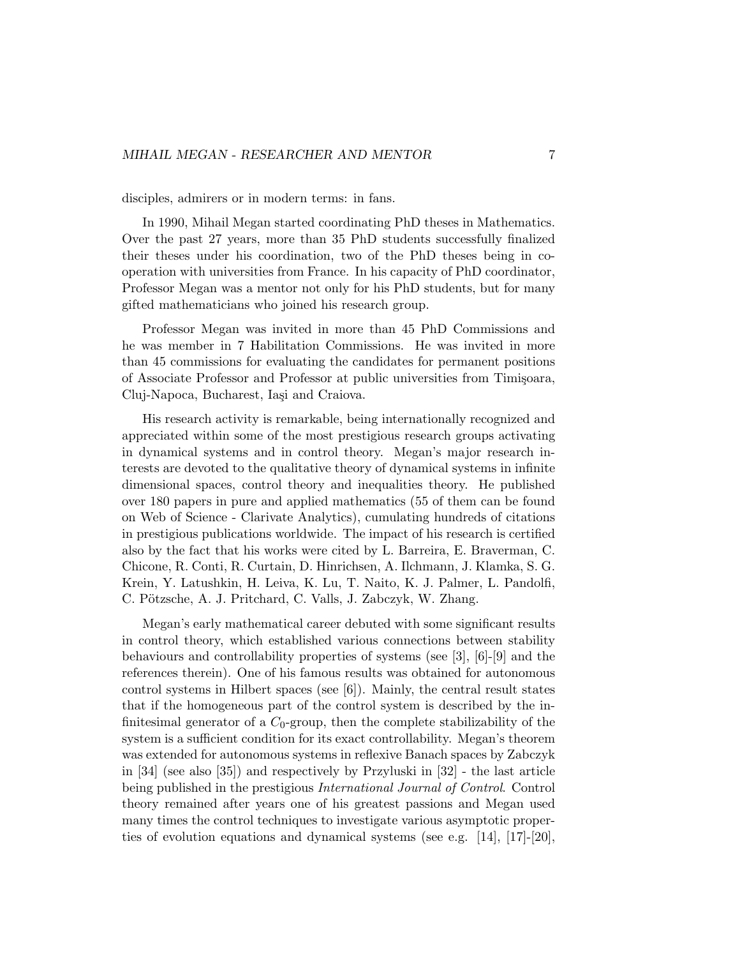disciples, admirers or in modern terms: in fans.

In 1990, Mihail Megan started coordinating PhD theses in Mathematics. Over the past 27 years, more than 35 PhD students successfully finalized their theses under his coordination, two of the PhD theses being in cooperation with universities from France. In his capacity of PhD coordinator, Professor Megan was a mentor not only for his PhD students, but for many gifted mathematicians who joined his research group.

Professor Megan was invited in more than 45 PhD Commissions and he was member in 7 Habilitation Commissions. He was invited in more than 45 commissions for evaluating the candidates for permanent positions of Associate Professor and Professor at public universities from Timișoara, Cluj-Napoca, Bucharest, Iași and Craiova.

His research activity is remarkable, being internationally recognized and appreciated within some of the most prestigious research groups activating in dynamical systems and in control theory. Megan's major research interests are devoted to the qualitative theory of dynamical systems in infinite dimensional spaces, control theory and inequalities theory. He published over 180 papers in pure and applied mathematics (55 of them can be found on Web of Science - Clarivate Analytics), cumulating hundreds of citations in prestigious publications worldwide. The impact of his research is certified also by the fact that his works were cited by L. Barreira, E. Braverman, C. Chicone, R. Conti, R. Curtain, D. Hinrichsen, A. Ilchmann, J. Klamka, S. G. Krein, Y. Latushkin, H. Leiva, K. Lu, T. Naito, K. J. Palmer, L. Pandolfi, C. Pötzsche, A. J. Pritchard, C. Valls, J. Zabczyk, W. Zhang.

Megan's early mathematical career debuted with some significant results in control theory, which established various connections between stability behaviours and controllability properties of systems (see [3], [6]-[9] and the references therein). One of his famous results was obtained for autonomous control systems in Hilbert spaces (see [6]). Mainly, the central result states that if the homogeneous part of the control system is described by the infinitesimal generator of a  $C_0$ -group, then the complete stabilizability of the system is a sufficient condition for its exact controllability. Megan's theorem was extended for autonomous systems in reflexive Banach spaces by Zabczyk in [34] (see also [35]) and respectively by Przyluski in [32] - the last article being published in the prestigious International Journal of Control. Control theory remained after years one of his greatest passions and Megan used many times the control techniques to investigate various asymptotic properties of evolution equations and dynamical systems (see e.g. [14], [17]-[20],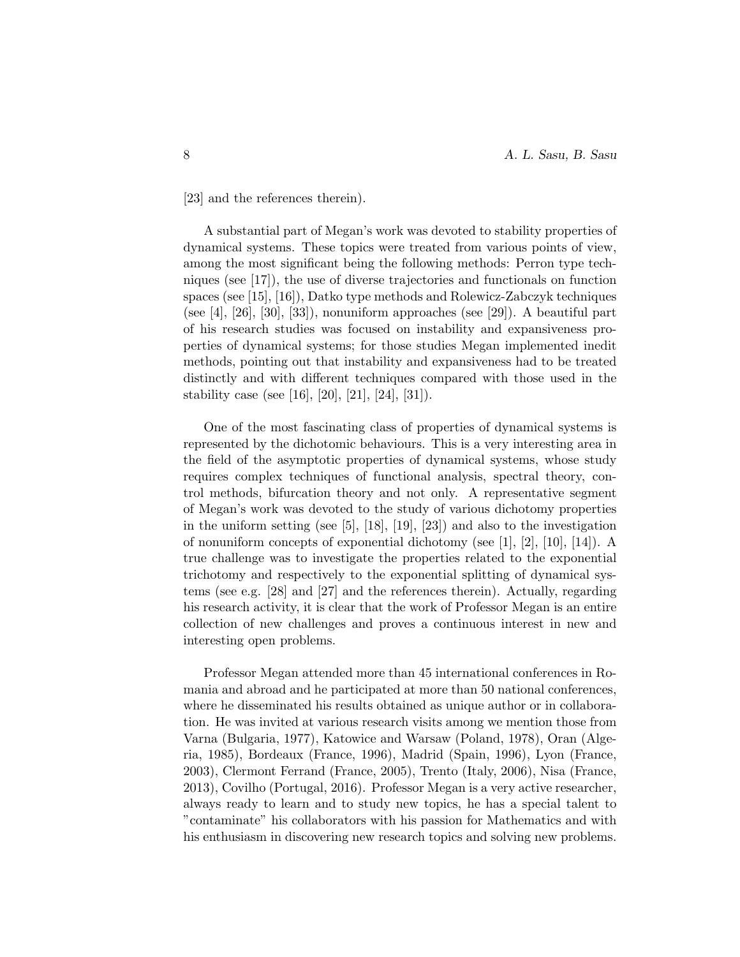[23] and the references therein).

A substantial part of Megan's work was devoted to stability properties of dynamical systems. These topics were treated from various points of view, among the most significant being the following methods: Perron type techniques (see [17]), the use of diverse trajectories and functionals on function spaces (see [15], [16]), Datko type methods and Rolewicz-Zabczyk techniques (see [4], [26], [30], [33]), nonuniform approaches (see [29]). A beautiful part of his research studies was focused on instability and expansiveness properties of dynamical systems; for those studies Megan implemented inedit methods, pointing out that instability and expansiveness had to be treated distinctly and with different techniques compared with those used in the stability case (see [16], [20], [21], [24], [31]).

One of the most fascinating class of properties of dynamical systems is represented by the dichotomic behaviours. This is a very interesting area in the field of the asymptotic properties of dynamical systems, whose study requires complex techniques of functional analysis, spectral theory, control methods, bifurcation theory and not only. A representative segment of Megan's work was devoted to the study of various dichotomy properties in the uniform setting (see [5], [18], [19], [23]) and also to the investigation of nonuniform concepts of exponential dichotomy (see  $[1], [2], [10], [14]$ ). A true challenge was to investigate the properties related to the exponential trichotomy and respectively to the exponential splitting of dynamical systems (see e.g. [28] and [27] and the references therein). Actually, regarding his research activity, it is clear that the work of Professor Megan is an entire collection of new challenges and proves a continuous interest in new and interesting open problems.

Professor Megan attended more than 45 international conferences in Romania and abroad and he participated at more than 50 national conferences, where he disseminated his results obtained as unique author or in collaboration. He was invited at various research visits among we mention those from Varna (Bulgaria, 1977), Katowice and Warsaw (Poland, 1978), Oran (Algeria, 1985), Bordeaux (France, 1996), Madrid (Spain, 1996), Lyon (France, 2003), Clermont Ferrand (France, 2005), Trento (Italy, 2006), Nisa (France, 2013), Covilho (Portugal, 2016). Professor Megan is a very active researcher, always ready to learn and to study new topics, he has a special talent to "contaminate" his collaborators with his passion for Mathematics and with his enthusiasm in discovering new research topics and solving new problems.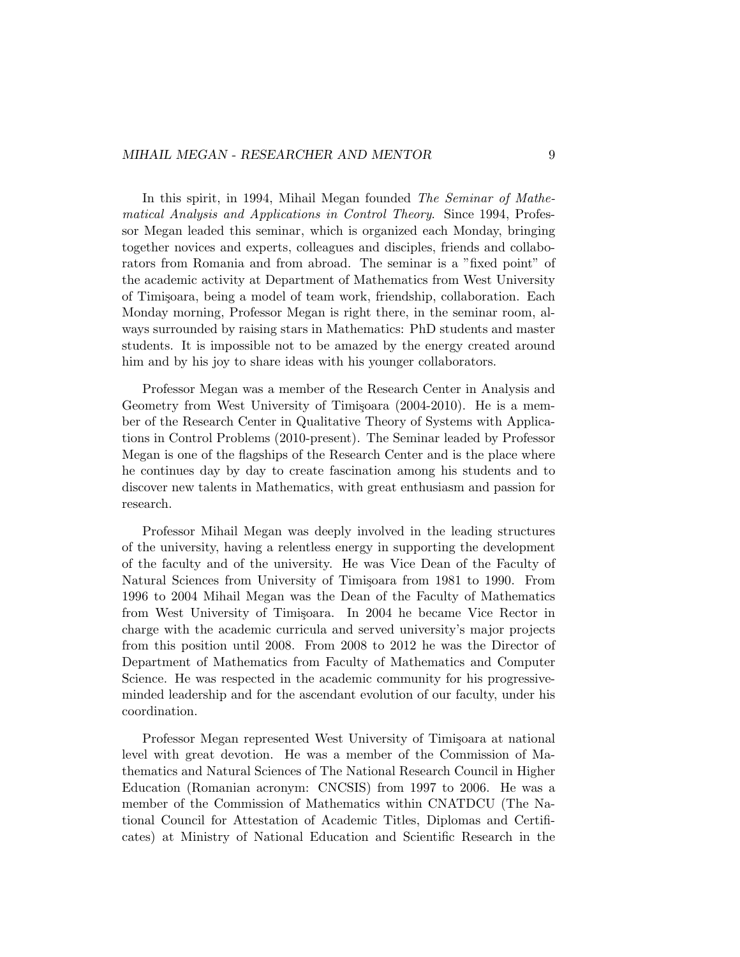In this spirit, in 1994, Mihail Megan founded The Seminar of Mathematical Analysis and Applications in Control Theory. Since 1994, Professor Megan leaded this seminar, which is organized each Monday, bringing together novices and experts, colleagues and disciples, friends and collaborators from Romania and from abroad. The seminar is a "fixed point" of the academic activity at Department of Mathematics from West University of Timisoara, being a model of team work, friendship, collaboration. Each Monday morning, Professor Megan is right there, in the seminar room, always surrounded by raising stars in Mathematics: PhD students and master students. It is impossible not to be amazed by the energy created around him and by his joy to share ideas with his younger collaborators.

Professor Megan was a member of the Research Center in Analysis and Geometry from West University of Timișoara (2004-2010). He is a member of the Research Center in Qualitative Theory of Systems with Applications in Control Problems (2010-present). The Seminar leaded by Professor Megan is one of the flagships of the Research Center and is the place where he continues day by day to create fascination among his students and to discover new talents in Mathematics, with great enthusiasm and passion for research.

Professor Mihail Megan was deeply involved in the leading structures of the university, having a relentless energy in supporting the development of the faculty and of the university. He was Vice Dean of the Faculty of Natural Sciences from University of Timișoara from 1981 to 1990. From 1996 to 2004 Mihail Megan was the Dean of the Faculty of Mathematics from West University of Timisoara. In 2004 he became Vice Rector in charge with the academic curricula and served university's major projects from this position until 2008. From 2008 to 2012 he was the Director of Department of Mathematics from Faculty of Mathematics and Computer Science. He was respected in the academic community for his progressiveminded leadership and for the ascendant evolution of our faculty, under his coordination.

Professor Megan represented West University of Timisoara at national level with great devotion. He was a member of the Commission of Mathematics and Natural Sciences of The National Research Council in Higher Education (Romanian acronym: CNCSIS) from 1997 to 2006. He was a member of the Commission of Mathematics within CNATDCU (The National Council for Attestation of Academic Titles, Diplomas and Certificates) at Ministry of National Education and Scientific Research in the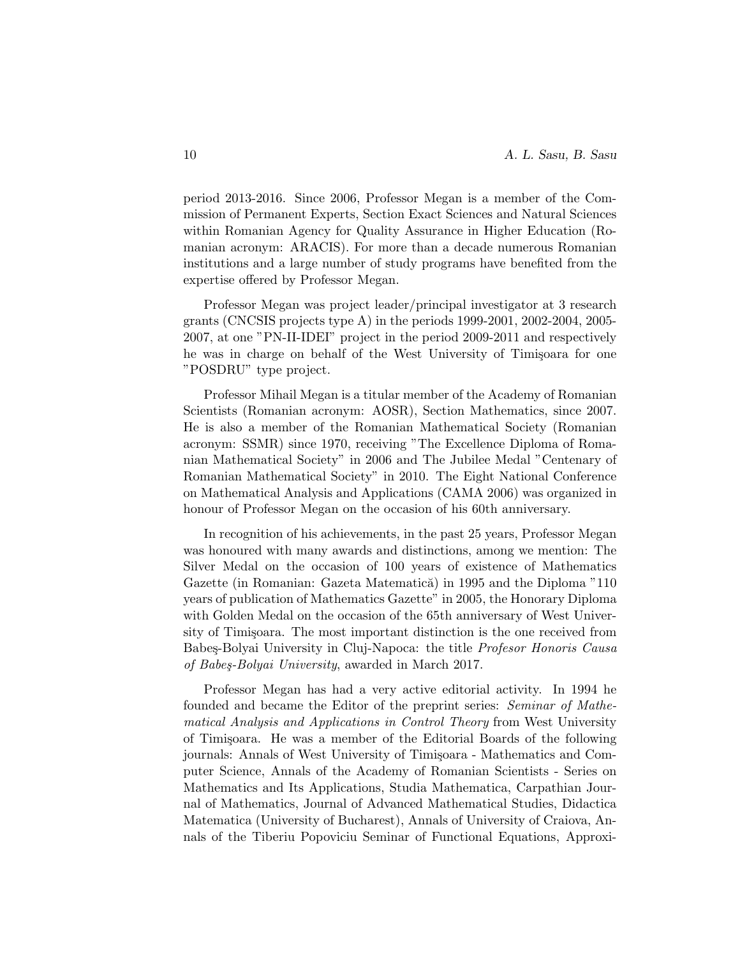period 2013-2016. Since 2006, Professor Megan is a member of the Commission of Permanent Experts, Section Exact Sciences and Natural Sciences within Romanian Agency for Quality Assurance in Higher Education (Romanian acronym: ARACIS). For more than a decade numerous Romanian institutions and a large number of study programs have benefited from the expertise offered by Professor Megan.

Professor Megan was project leader/principal investigator at 3 research grants (CNCSIS projects type A) in the periods 1999-2001, 2002-2004, 2005- 2007, at one "PN-II-IDEI" project in the period 2009-2011 and respectively he was in charge on behalf of the West University of Timisoara for one "POSDRU" type project.

Professor Mihail Megan is a titular member of the Academy of Romanian Scientists (Romanian acronym: AOSR), Section Mathematics, since 2007. He is also a member of the Romanian Mathematical Society (Romanian acronym: SSMR) since 1970, receiving "The Excellence Diploma of Romanian Mathematical Society" in 2006 and The Jubilee Medal "Centenary of Romanian Mathematical Society" in 2010. The Eight National Conference on Mathematical Analysis and Applications (CAMA 2006) was organized in honour of Professor Megan on the occasion of his 60th anniversary.

In recognition of his achievements, in the past 25 years, Professor Megan was honoured with many awards and distinctions, among we mention: The Silver Medal on the occasion of 100 years of existence of Mathematics Gazette (in Romanian: Gazeta Matematică) in 1995 and the Diploma "110 years of publication of Mathematics Gazette" in 2005, the Honorary Diploma with Golden Medal on the occasion of the 65th anniversary of West University of Timișoara. The most important distinction is the one received from Babeş-Bolyai University in Cluj-Napoca: the title *Profesor Honoris Causa* of Babeş-Bolyai University, awarded in March 2017.

Professor Megan has had a very active editorial activity. In 1994 he founded and became the Editor of the preprint series: Seminar of Mathematical Analysis and Applications in Control Theory from West University of Timi¸soara. He was a member of the Editorial Boards of the following journals: Annals of West University of Timisoara - Mathematics and Computer Science, Annals of the Academy of Romanian Scientists - Series on Mathematics and Its Applications, Studia Mathematica, Carpathian Journal of Mathematics, Journal of Advanced Mathematical Studies, Didactica Matematica (University of Bucharest), Annals of University of Craiova, Annals of the Tiberiu Popoviciu Seminar of Functional Equations, Approxi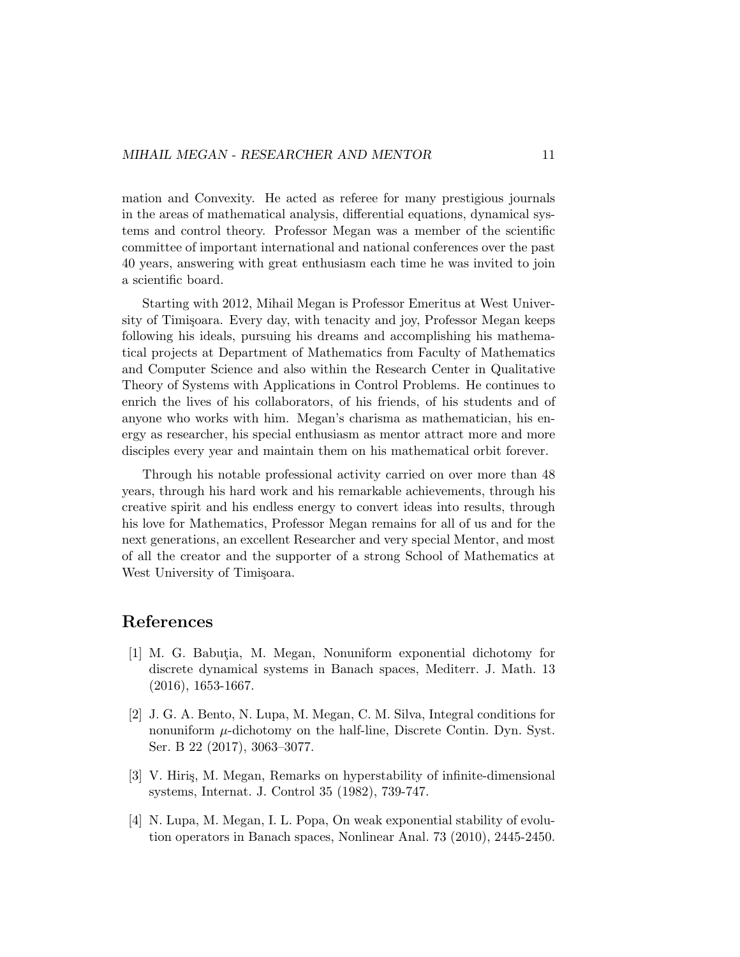mation and Convexity. He acted as referee for many prestigious journals in the areas of mathematical analysis, differential equations, dynamical systems and control theory. Professor Megan was a member of the scientific committee of important international and national conferences over the past 40 years, answering with great enthusiasm each time he was invited to join a scientific board.

Starting with 2012, Mihail Megan is Professor Emeritus at West University of Timișoara. Every day, with tenacity and joy, Professor Megan keeps following his ideals, pursuing his dreams and accomplishing his mathematical projects at Department of Mathematics from Faculty of Mathematics and Computer Science and also within the Research Center in Qualitative Theory of Systems with Applications in Control Problems. He continues to enrich the lives of his collaborators, of his friends, of his students and of anyone who works with him. Megan's charisma as mathematician, his energy as researcher, his special enthusiasm as mentor attract more and more disciples every year and maintain them on his mathematical orbit forever.

Through his notable professional activity carried on over more than 48 years, through his hard work and his remarkable achievements, through his creative spirit and his endless energy to convert ideas into results, through his love for Mathematics, Professor Megan remains for all of us and for the next generations, an excellent Researcher and very special Mentor, and most of all the creator and the supporter of a strong School of Mathematics at West University of Timisoara.

## References

- [1] M. G. Babutia, M. Megan, Nonuniform exponential dichotomy for discrete dynamical systems in Banach spaces, Mediterr. J. Math. 13 (2016), 1653-1667.
- [2] J. G. A. Bento, N. Lupa, M. Megan, C. M. Silva, Integral conditions for nonuniform  $\mu$ -dichotomy on the half-line, Discrete Contin. Dyn. Syst. Ser. B 22 (2017), 3063–3077.
- [3] V. Hiriş, M. Megan, Remarks on hyperstability of infinite-dimensional systems, Internat. J. Control 35 (1982), 739-747.
- [4] N. Lupa, M. Megan, I. L. Popa, On weak exponential stability of evolution operators in Banach spaces, Nonlinear Anal. 73 (2010), 2445-2450.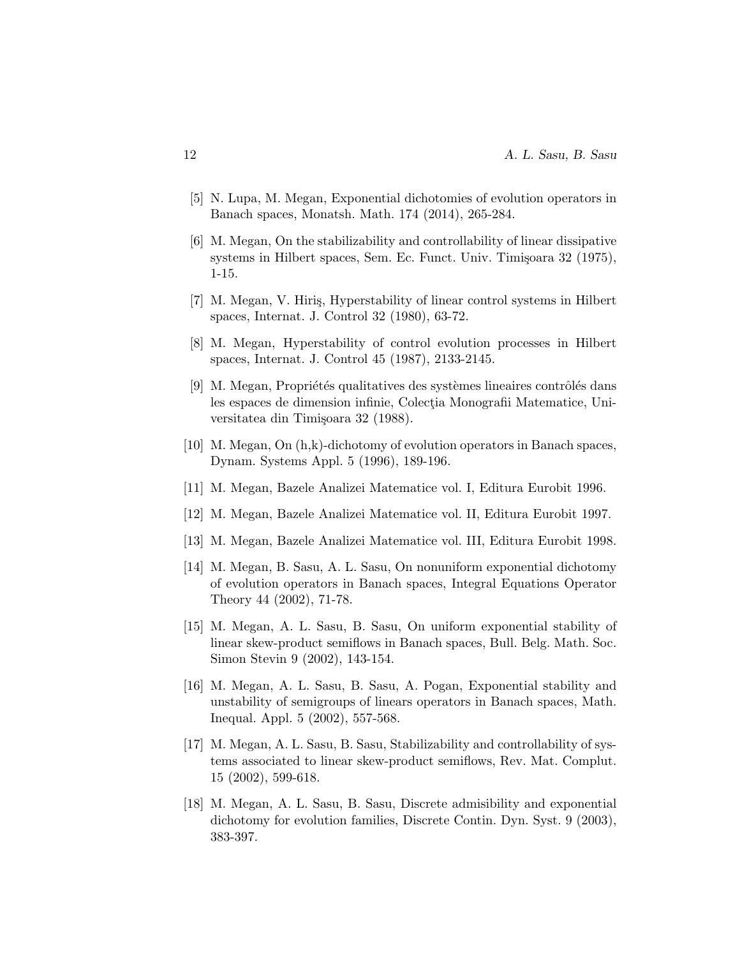- [5] N. Lupa, M. Megan, Exponential dichotomies of evolution operators in Banach spaces, Monatsh. Math. 174 (2014), 265-284.
- [6] M. Megan, On the stabilizability and controllability of linear dissipative systems in Hilbert spaces, Sem. Ec. Funct. Univ. Timișoara 32 (1975), 1-15.
- [7] M. Megan, V. Hiris, Hyperstability of linear control systems in Hilbert spaces, Internat. J. Control 32 (1980), 63-72.
- [8] M. Megan, Hyperstability of control evolution processes in Hilbert spaces, Internat. J. Control 45 (1987), 2133-2145.
- $[9]$  M. Megan, Propriétés qualitatives des systèmes lineaires contrôlés dans les espaces de dimension infinie, Colectia Monografii Matematice, Universitatea din Timișoara 32 (1988).
- [10] M. Megan, On (h,k)-dichotomy of evolution operators in Banach spaces, Dynam. Systems Appl. 5 (1996), 189-196.
- [11] M. Megan, Bazele Analizei Matematice vol. I, Editura Eurobit 1996.
- [12] M. Megan, Bazele Analizei Matematice vol. II, Editura Eurobit 1997.
- [13] M. Megan, Bazele Analizei Matematice vol. III, Editura Eurobit 1998.
- [14] M. Megan, B. Sasu, A. L. Sasu, On nonuniform exponential dichotomy of evolution operators in Banach spaces, Integral Equations Operator Theory 44 (2002), 71-78.
- [15] M. Megan, A. L. Sasu, B. Sasu, On uniform exponential stability of linear skew-product semiflows in Banach spaces, Bull. Belg. Math. Soc. Simon Stevin 9 (2002), 143-154.
- [16] M. Megan, A. L. Sasu, B. Sasu, A. Pogan, Exponential stability and unstability of semigroups of linears operators in Banach spaces, Math. Inequal. Appl. 5 (2002), 557-568.
- [17] M. Megan, A. L. Sasu, B. Sasu, Stabilizability and controllability of systems associated to linear skew-product semiflows, Rev. Mat. Complut. 15 (2002), 599-618.
- [18] M. Megan, A. L. Sasu, B. Sasu, Discrete admisibility and exponential dichotomy for evolution families, Discrete Contin. Dyn. Syst. 9 (2003), 383-397.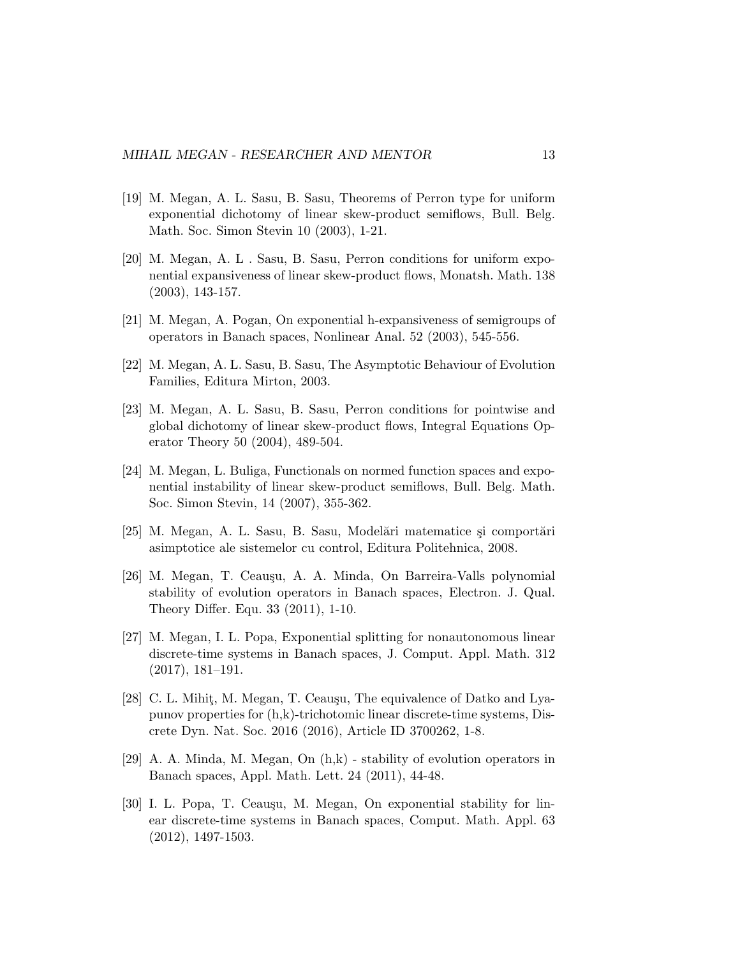- [19] M. Megan, A. L. Sasu, B. Sasu, Theorems of Perron type for uniform exponential dichotomy of linear skew-product semiflows, Bull. Belg. Math. Soc. Simon Stevin 10 (2003), 1-21.
- [20] M. Megan, A. L . Sasu, B. Sasu, Perron conditions for uniform exponential expansiveness of linear skew-product flows, Monatsh. Math. 138 (2003), 143-157.
- [21] M. Megan, A. Pogan, On exponential h-expansiveness of semigroups of operators in Banach spaces, Nonlinear Anal. 52 (2003), 545-556.
- [22] M. Megan, A. L. Sasu, B. Sasu, The Asymptotic Behaviour of Evolution Families, Editura Mirton, 2003.
- [23] M. Megan, A. L. Sasu, B. Sasu, Perron conditions for pointwise and global dichotomy of linear skew-product flows, Integral Equations Operator Theory 50 (2004), 489-504.
- [24] M. Megan, L. Buliga, Functionals on normed function spaces and exponential instability of linear skew-product semiflows, Bull. Belg. Math. Soc. Simon Stevin, 14 (2007), 355-362.
- [25] M. Megan, A. L. Sasu, B. Sasu, Modelari matematice și comportari asimptotice ale sistemelor cu control, Editura Politehnica, 2008.
- [26] M. Megan, T. Ceauşu, A. A. Minda, On Barreira-Valls polynomial stability of evolution operators in Banach spaces, Electron. J. Qual. Theory Differ. Equ. 33 (2011), 1-10.
- [27] M. Megan, I. L. Popa, Exponential splitting for nonautonomous linear discrete-time systems in Banach spaces, J. Comput. Appl. Math. 312 (2017), 181–191.
- [28] C. L. Mihit, M. Megan, T. Ceauşu, The equivalence of Datko and Lyapunov properties for (h,k)-trichotomic linear discrete-time systems, Discrete Dyn. Nat. Soc. 2016 (2016), Article ID 3700262, 1-8.
- [29] A. A. Minda, M. Megan, On (h,k) stability of evolution operators in Banach spaces, Appl. Math. Lett. 24 (2011), 44-48.
- [30] I. L. Popa, T. Ceauşu, M. Megan, On exponential stability for linear discrete-time systems in Banach spaces, Comput. Math. Appl. 63 (2012), 1497-1503.